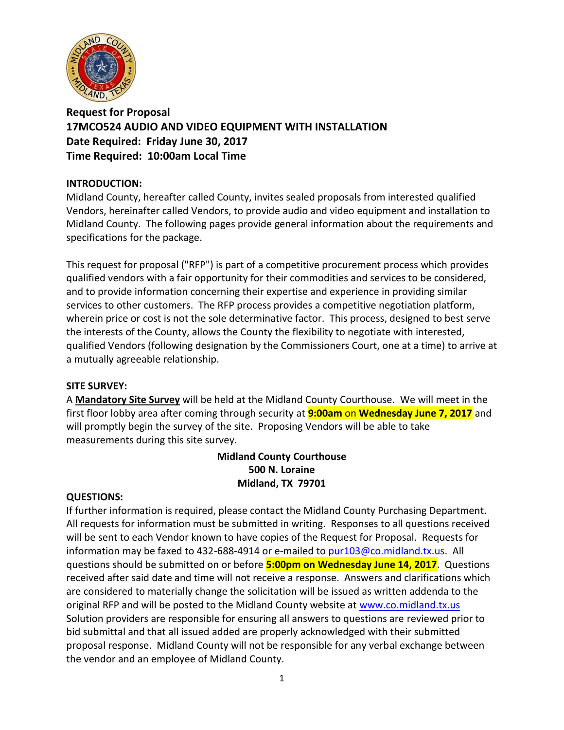

**Request for Proposal 17MCO524 AUDIO AND VIDEO EQUIPMENT WITH INSTALLATION Date Required: Friday June 30, 2017 Time Required: 10:00am Local Time**

### **INTRODUCTION:**

Midland County, hereafter called County, invites sealed proposals from interested qualified Vendors, hereinafter called Vendors, to provide audio and video equipment and installation to Midland County. The following pages provide general information about the requirements and specifications for the package.

This request for proposal ("RFP") is part of a competitive procurement process which provides qualified vendors with a fair opportunity for their commodities and services to be considered, and to provide information concerning their expertise and experience in providing similar services to other customers. The RFP process provides a competitive negotiation platform, wherein price or cost is not the sole determinative factor. This process, designed to best serve the interests of the County, allows the County the flexibility to negotiate with interested, qualified Vendors (following designation by the Commissioners Court, one at a time) to arrive at a mutually agreeable relationship.

#### **SITE SURVEY:**

A **Mandatory Site Survey** will be held at the Midland County Courthouse. We will meet in the first floor lobby area after coming through security at **9:00am** on **Wednesday June 7, 2017** and will promptly begin the survey of the site. Proposing Vendors will be able to take measurements during this site survey.

## **Midland County Courthouse 500 N. Loraine Midland, TX 79701**

#### **QUESTIONS:**

If further information is required, please contact the Midland County Purchasing Department. All requests for information must be submitted in writing. Responses to all questions received will be sent to each Vendor known to have copies of the Request for Proposal. Requests for information may be faxed to 432-688-4914 or e-mailed to [pur103@co.midland.tx.us.](mailto:pur103@co.midland.tx.us) All questions should be submitted on or before **5:00pm on Wednesday June 14, 2017**. Questions received after said date and time will not receive a response. Answers and clarifications which are considered to materially change the solicitation will be issued as written addenda to the original RFP and will be posted to the Midland County website at [www.co.midland.tx.us](http://www.co.midland.tx.us/)  Solution providers are responsible for ensuring all answers to questions are reviewed prior to bid submittal and that all issued added are properly acknowledged with their submitted proposal response. Midland County will not be responsible for any verbal exchange between the vendor and an employee of Midland County.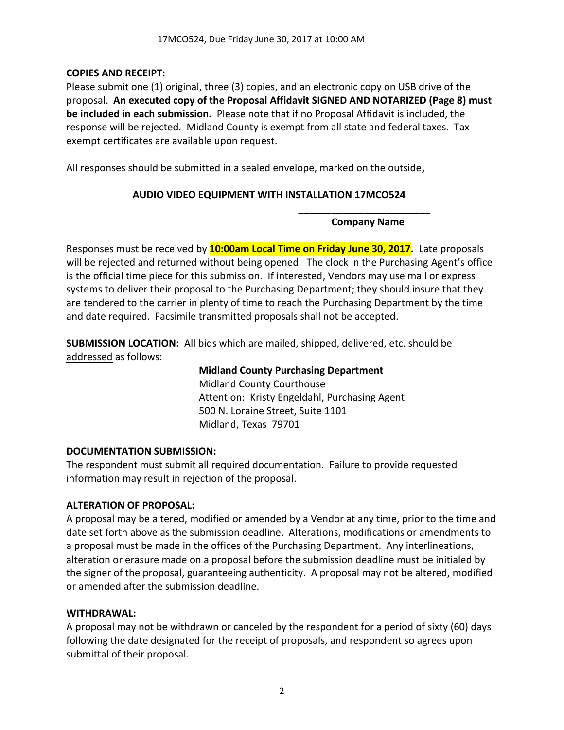## **COPIES AND RECEIPT:**

Please submit one (1) original, three (3) copies, and an electronic copy on USB drive of the proposal. **An executed copy of the Proposal Affidavit SIGNED AND NOTARIZED (Page 8) must be included in each submission.** Please note that if no Proposal Affidavit is included, the response will be rejected. Midland County is exempt from all state and federal taxes. Tax exempt certificates are available upon request.

All responses should be submitted in a sealed envelope, marked on the outside**,** 

## **AUDIO VIDEO EQUIPMENT WITH INSTALLATION 17MCO524**

**\_\_\_\_\_\_\_\_\_\_\_\_\_\_\_\_\_\_\_\_\_\_\_\_ Company Name**

Responses must be received by **10:00am Local Time on Friday June 30, 2017.** Late proposals will be rejected and returned without being opened. The clock in the Purchasing Agent's office is the official time piece for this submission. If interested, Vendors may use mail or express systems to deliver their proposal to the Purchasing Department; they should insure that they are tendered to the carrier in plenty of time to reach the Purchasing Department by the time and date required. Facsimile transmitted proposals shall not be accepted.

**SUBMISSION LOCATION:** All bids which are mailed, shipped, delivered, etc. should be addressed as follows:

> **Midland County Purchasing Department** Midland County Courthouse Attention: Kristy Engeldahl, Purchasing Agent 500 N. Loraine Street, Suite 1101 Midland, Texas 79701

## **DOCUMENTATION SUBMISSION:**

The respondent must submit all required documentation. Failure to provide requested information may result in rejection of the proposal.

## **ALTERATION OF PROPOSAL:**

A proposal may be altered, modified or amended by a Vendor at any time, prior to the time and date set forth above as the submission deadline. Alterations, modifications or amendments to a proposal must be made in the offices of the Purchasing Department. Any interlineations, alteration or erasure made on a proposal before the submission deadline must be initialed by the signer of the proposal, guaranteeing authenticity. A proposal may not be altered, modified or amended after the submission deadline.

## **WITHDRAWAL:**

A proposal may not be withdrawn or canceled by the respondent for a period of sixty (60) days following the date designated for the receipt of proposals, and respondent so agrees upon submittal of their proposal.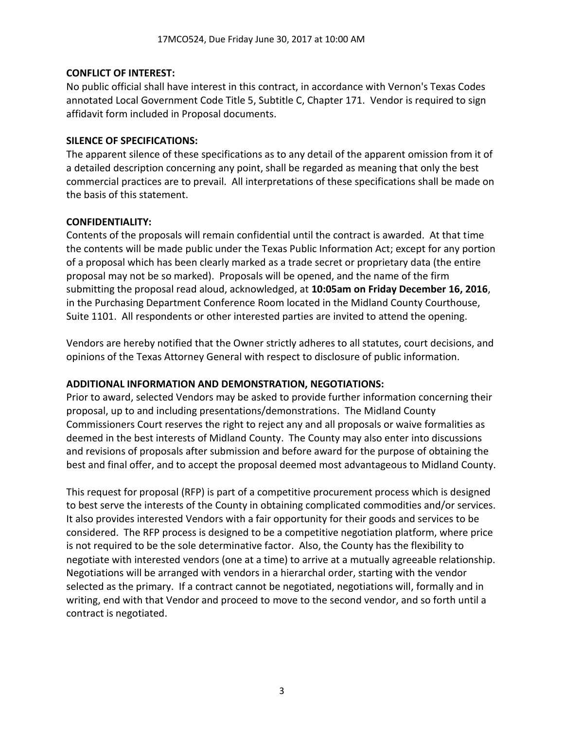#### **CONFLICT OF INTEREST:**

No public official shall have interest in this contract, in accordance with Vernon's Texas Codes annotated Local Government Code Title 5, Subtitle C, Chapter 171. Vendor is required to sign affidavit form included in Proposal documents.

#### **SILENCE OF SPECIFICATIONS:**

The apparent silence of these specifications as to any detail of the apparent omission from it of a detailed description concerning any point, shall be regarded as meaning that only the best commercial practices are to prevail. All interpretations of these specifications shall be made on the basis of this statement.

#### **CONFIDENTIALITY:**

Contents of the proposals will remain confidential until the contract is awarded. At that time the contents will be made public under the Texas Public Information Act; except for any portion of a proposal which has been clearly marked as a trade secret or proprietary data (the entire proposal may not be so marked). Proposals will be opened, and the name of the firm submitting the proposal read aloud, acknowledged, at **10:05am on Friday December 16, 2016**, in the Purchasing Department Conference Room located in the Midland County Courthouse, Suite 1101. All respondents or other interested parties are invited to attend the opening.

Vendors are hereby notified that the Owner strictly adheres to all statutes, court decisions, and opinions of the Texas Attorney General with respect to disclosure of public information.

## **ADDITIONAL INFORMATION AND DEMONSTRATION, NEGOTIATIONS:**

Prior to award, selected Vendors may be asked to provide further information concerning their proposal, up to and including presentations/demonstrations. The Midland County Commissioners Court reserves the right to reject any and all proposals or waive formalities as deemed in the best interests of Midland County. The County may also enter into discussions and revisions of proposals after submission and before award for the purpose of obtaining the best and final offer, and to accept the proposal deemed most advantageous to Midland County.

This request for proposal (RFP) is part of a competitive procurement process which is designed to best serve the interests of the County in obtaining complicated commodities and/or services. It also provides interested Vendors with a fair opportunity for their goods and services to be considered. The RFP process is designed to be a competitive negotiation platform, where price is not required to be the sole determinative factor. Also, the County has the flexibility to negotiate with interested vendors (one at a time) to arrive at a mutually agreeable relationship. Negotiations will be arranged with vendors in a hierarchal order, starting with the vendor selected as the primary. If a contract cannot be negotiated, negotiations will, formally and in writing, end with that Vendor and proceed to move to the second vendor, and so forth until a contract is negotiated.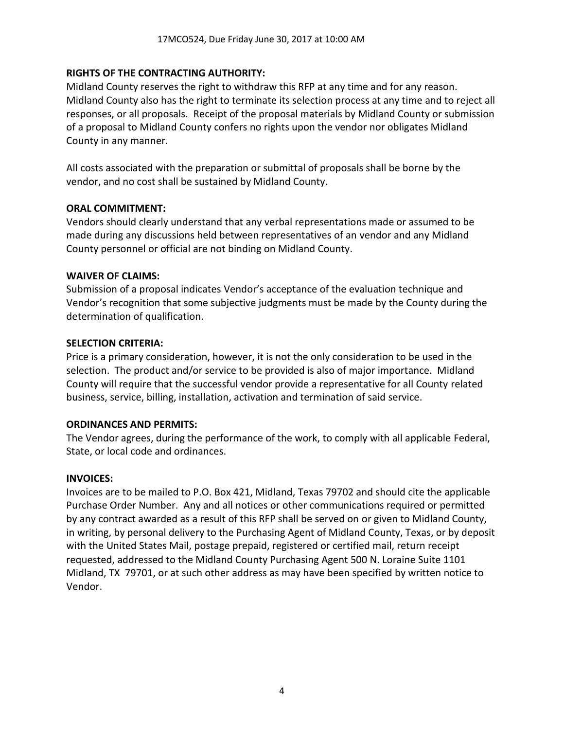#### **RIGHTS OF THE CONTRACTING AUTHORITY:**

Midland County reserves the right to withdraw this RFP at any time and for any reason. Midland County also has the right to terminate its selection process at any time and to reject all responses, or all proposals. Receipt of the proposal materials by Midland County or submission of a proposal to Midland County confers no rights upon the vendor nor obligates Midland County in any manner.

All costs associated with the preparation or submittal of proposals shall be borne by the vendor, and no cost shall be sustained by Midland County.

#### **ORAL COMMITMENT:**

Vendors should clearly understand that any verbal representations made or assumed to be made during any discussions held between representatives of an vendor and any Midland County personnel or official are not binding on Midland County.

#### **WAIVER OF CLAIMS:**

Submission of a proposal indicates Vendor's acceptance of the evaluation technique and Vendor's recognition that some subjective judgments must be made by the County during the determination of qualification.

#### **SELECTION CRITERIA:**

Price is a primary consideration, however, it is not the only consideration to be used in the selection. The product and/or service to be provided is also of major importance. Midland County will require that the successful vendor provide a representative for all County related business, service, billing, installation, activation and termination of said service.

#### **ORDINANCES AND PERMITS:**

The Vendor agrees, during the performance of the work, to comply with all applicable Federal, State, or local code and ordinances.

#### **INVOICES:**

Invoices are to be mailed to P.O. Box 421, Midland, Texas 79702 and should cite the applicable Purchase Order Number. Any and all notices or other communications required or permitted by any contract awarded as a result of this RFP shall be served on or given to Midland County, in writing, by personal delivery to the Purchasing Agent of Midland County, Texas, or by deposit with the United States Mail, postage prepaid, registered or certified mail, return receipt requested, addressed to the Midland County Purchasing Agent 500 N. Loraine Suite 1101 Midland, TX 79701, or at such other address as may have been specified by written notice to Vendor.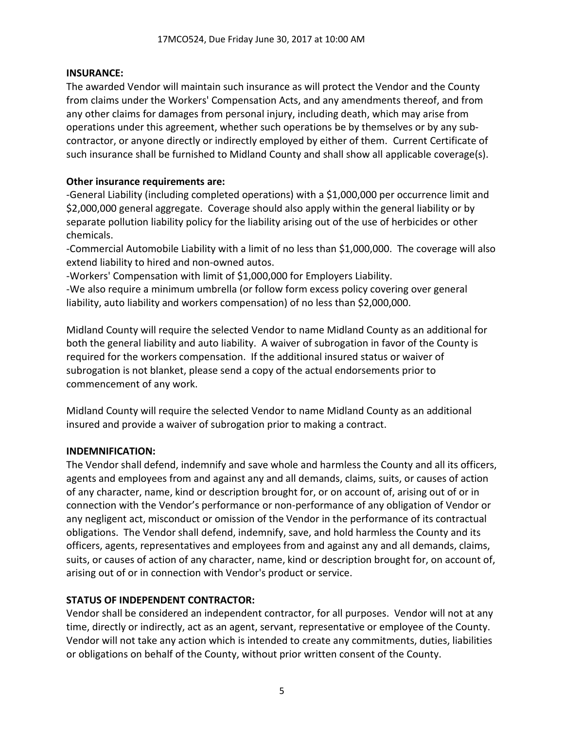## **INSURANCE:**

The awarded Vendor will maintain such insurance as will protect the Vendor and the County from claims under the Workers' Compensation Acts, and any amendments thereof, and from any other claims for damages from personal injury, including death, which may arise from operations under this agreement, whether such operations be by themselves or by any subcontractor, or anyone directly or indirectly employed by either of them. Current Certificate of such insurance shall be furnished to Midland County and shall show all applicable coverage(s).

## **Other insurance requirements are:**

-General Liability (including completed operations) with a \$1,000,000 per occurrence limit and \$2,000,000 general aggregate. Coverage should also apply within the general liability or by separate pollution liability policy for the liability arising out of the use of herbicides or other chemicals.

-Commercial Automobile Liability with a limit of no less than \$1,000,000. The coverage will also extend liability to hired and non-owned autos.

-Workers' Compensation with limit of \$1,000,000 for Employers Liability.

-We also require a minimum umbrella (or follow form excess policy covering over general liability, auto liability and workers compensation) of no less than \$2,000,000.

Midland County will require the selected Vendor to name Midland County as an additional for both the general liability and auto liability. A waiver of subrogation in favor of the County is required for the workers compensation. If the additional insured status or waiver of subrogation is not blanket, please send a copy of the actual endorsements prior to commencement of any work.

Midland County will require the selected Vendor to name Midland County as an additional insured and provide a waiver of subrogation prior to making a contract.

## **INDEMNIFICATION:**

The Vendor shall defend, indemnify and save whole and harmless the County and all its officers, agents and employees from and against any and all demands, claims, suits, or causes of action of any character, name, kind or description brought for, or on account of, arising out of or in connection with the Vendor's performance or non-performance of any obligation of Vendor or any negligent act, misconduct or omission of the Vendor in the performance of its contractual obligations. The Vendor shall defend, indemnify, save, and hold harmless the County and its officers, agents, representatives and employees from and against any and all demands, claims, suits, or causes of action of any character, name, kind or description brought for, on account of, arising out of or in connection with Vendor's product or service.

## **STATUS OF INDEPENDENT CONTRACTOR:**

Vendor shall be considered an independent contractor, for all purposes. Vendor will not at any time, directly or indirectly, act as an agent, servant, representative or employee of the County. Vendor will not take any action which is intended to create any commitments, duties, liabilities or obligations on behalf of the County, without prior written consent of the County.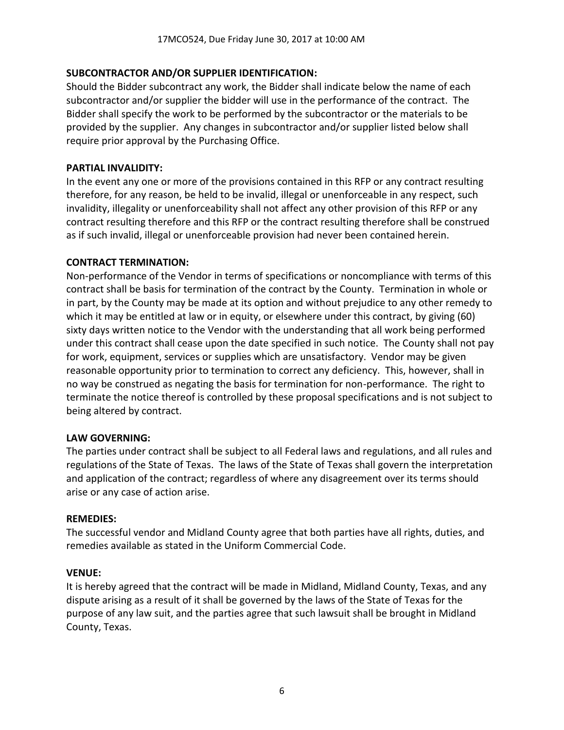### **SUBCONTRACTOR AND/OR SUPPLIER IDENTIFICATION:**

Should the Bidder subcontract any work, the Bidder shall indicate below the name of each subcontractor and/or supplier the bidder will use in the performance of the contract. The Bidder shall specify the work to be performed by the subcontractor or the materials to be provided by the supplier. Any changes in subcontractor and/or supplier listed below shall require prior approval by the Purchasing Office.

#### **PARTIAL INVALIDITY:**

In the event any one or more of the provisions contained in this RFP or any contract resulting therefore, for any reason, be held to be invalid, illegal or unenforceable in any respect, such invalidity, illegality or unenforceability shall not affect any other provision of this RFP or any contract resulting therefore and this RFP or the contract resulting therefore shall be construed as if such invalid, illegal or unenforceable provision had never been contained herein.

#### **CONTRACT TERMINATION:**

Non-performance of the Vendor in terms of specifications or noncompliance with terms of this contract shall be basis for termination of the contract by the County. Termination in whole or in part, by the County may be made at its option and without prejudice to any other remedy to which it may be entitled at law or in equity, or elsewhere under this contract, by giving (60) sixty days written notice to the Vendor with the understanding that all work being performed under this contract shall cease upon the date specified in such notice. The County shall not pay for work, equipment, services or supplies which are unsatisfactory. Vendor may be given reasonable opportunity prior to termination to correct any deficiency. This, however, shall in no way be construed as negating the basis for termination for non-performance. The right to terminate the notice thereof is controlled by these proposal specifications and is not subject to being altered by contract.

## **LAW GOVERNING:**

The parties under contract shall be subject to all Federal laws and regulations, and all rules and regulations of the State of Texas. The laws of the State of Texas shall govern the interpretation and application of the contract; regardless of where any disagreement over its terms should arise or any case of action arise.

#### **REMEDIES:**

The successful vendor and Midland County agree that both parties have all rights, duties, and remedies available as stated in the Uniform Commercial Code.

#### **VENUE:**

It is hereby agreed that the contract will be made in Midland, Midland County, Texas, and any dispute arising as a result of it shall be governed by the laws of the State of Texas for the purpose of any law suit, and the parties agree that such lawsuit shall be brought in Midland County, Texas.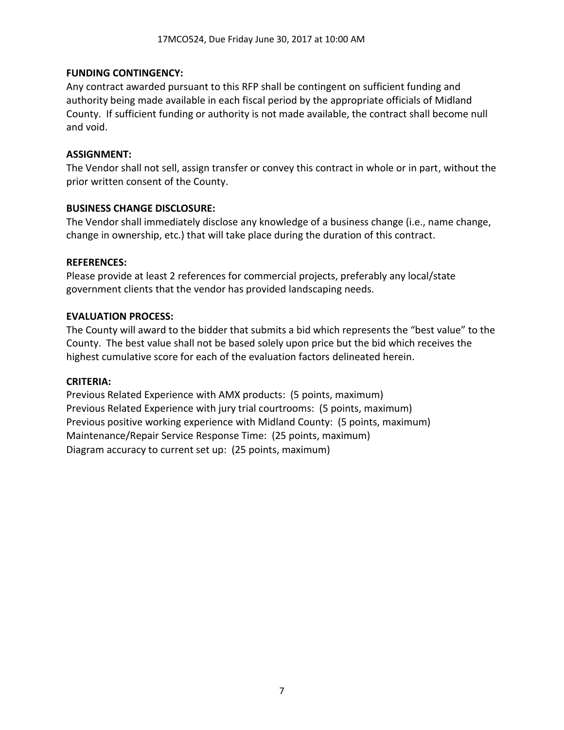### **FUNDING CONTINGENCY:**

Any contract awarded pursuant to this RFP shall be contingent on sufficient funding and authority being made available in each fiscal period by the appropriate officials of Midland County. If sufficient funding or authority is not made available, the contract shall become null and void.

#### **ASSIGNMENT:**

The Vendor shall not sell, assign transfer or convey this contract in whole or in part, without the prior written consent of the County.

### **BUSINESS CHANGE DISCLOSURE:**

The Vendor shall immediately disclose any knowledge of a business change (i.e., name change, change in ownership, etc.) that will take place during the duration of this contract.

#### **REFERENCES:**

Please provide at least 2 references for commercial projects, preferably any local/state government clients that the vendor has provided landscaping needs.

### **EVALUATION PROCESS:**

The County will award to the bidder that submits a bid which represents the "best value" to the County. The best value shall not be based solely upon price but the bid which receives the highest cumulative score for each of the evaluation factors delineated herein.

#### **CRITERIA:**

Previous Related Experience with AMX products: (5 points, maximum) Previous Related Experience with jury trial courtrooms: (5 points, maximum) Previous positive working experience with Midland County: (5 points, maximum) Maintenance/Repair Service Response Time: (25 points, maximum) Diagram accuracy to current set up: (25 points, maximum)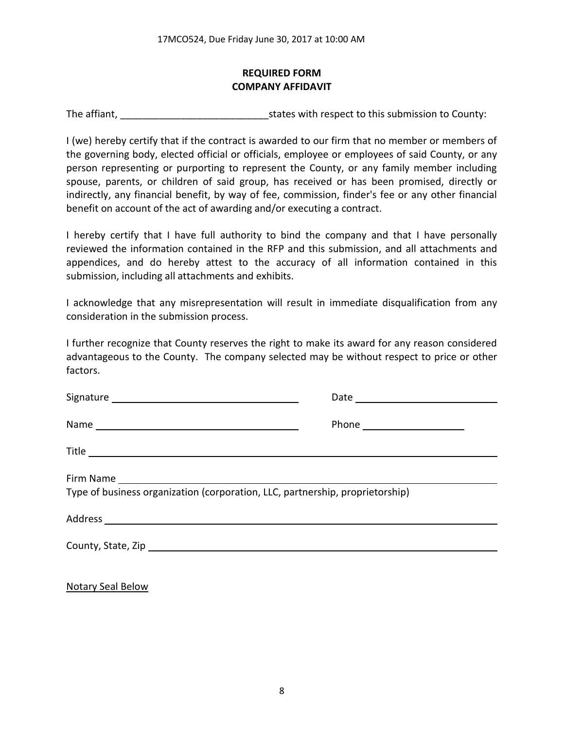## **REQUIRED FORM COMPANY AFFIDAVIT**

The affiant, The affiant, The affiant,  $\frac{1}{2}$  is tates with respect to this submission to County:

I (we) hereby certify that if the contract is awarded to our firm that no member or members of the governing body, elected official or officials, employee or employees of said County, or any person representing or purporting to represent the County, or any family member including spouse, parents, or children of said group, has received or has been promised, directly or indirectly, any financial benefit, by way of fee, commission, finder's fee or any other financial benefit on account of the act of awarding and/or executing a contract.

I hereby certify that I have full authority to bind the company and that I have personally reviewed the information contained in the RFP and this submission, and all attachments and appendices, and do hereby attest to the accuracy of all information contained in this submission, including all attachments and exhibits.

I acknowledge that any misrepresentation will result in immediate disqualification from any consideration in the submission process.

I further recognize that County reserves the right to make its award for any reason considered advantageous to the County. The company selected may be without respect to price or other factors.

| Type of business organization (corporation, LLC, partnership, proprietorship) |  |
|-------------------------------------------------------------------------------|--|
|                                                                               |  |
|                                                                               |  |
|                                                                               |  |

Notary Seal Below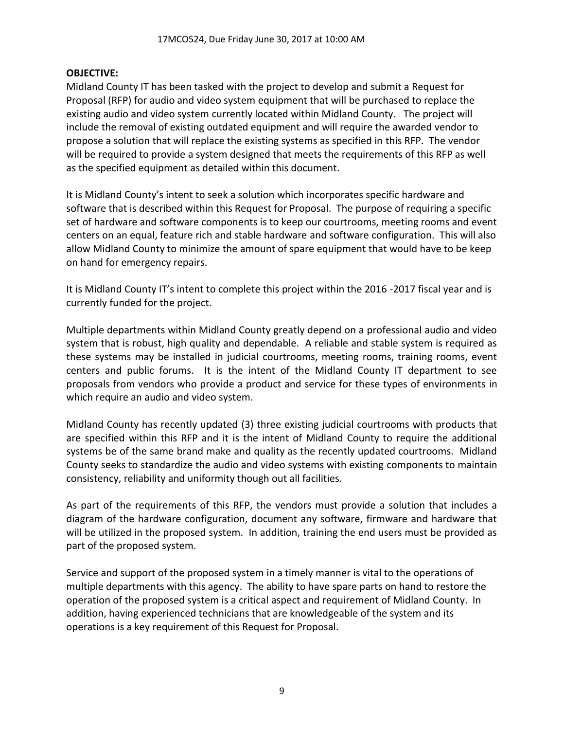### **OBJECTIVE:**

Midland County IT has been tasked with the project to develop and submit a Request for Proposal (RFP) for audio and video system equipment that will be purchased to replace the existing audio and video system currently located within Midland County. The project will include the removal of existing outdated equipment and will require the awarded vendor to propose a solution that will replace the existing systems as specified in this RFP. The vendor will be required to provide a system designed that meets the requirements of this RFP as well as the specified equipment as detailed within this document.

It is Midland County's intent to seek a solution which incorporates specific hardware and software that is described within this Request for Proposal. The purpose of requiring a specific set of hardware and software components is to keep our courtrooms, meeting rooms and event centers on an equal, feature rich and stable hardware and software configuration. This will also allow Midland County to minimize the amount of spare equipment that would have to be keep on hand for emergency repairs.

It is Midland County IT's intent to complete this project within the 2016 -2017 fiscal year and is currently funded for the project.

Multiple departments within Midland County greatly depend on a professional audio and video system that is robust, high quality and dependable. A reliable and stable system is required as these systems may be installed in judicial courtrooms, meeting rooms, training rooms, event centers and public forums. It is the intent of the Midland County IT department to see proposals from vendors who provide a product and service for these types of environments in which require an audio and video system.

Midland County has recently updated (3) three existing judicial courtrooms with products that are specified within this RFP and it is the intent of Midland County to require the additional systems be of the same brand make and quality as the recently updated courtrooms. Midland County seeks to standardize the audio and video systems with existing components to maintain consistency, reliability and uniformity though out all facilities.

As part of the requirements of this RFP, the vendors must provide a solution that includes a diagram of the hardware configuration, document any software, firmware and hardware that will be utilized in the proposed system. In addition, training the end users must be provided as part of the proposed system.

Service and support of the proposed system in a timely manner is vital to the operations of multiple departments with this agency. The ability to have spare parts on hand to restore the operation of the proposed system is a critical aspect and requirement of Midland County. In addition, having experienced technicians that are knowledgeable of the system and its operations is a key requirement of this Request for Proposal.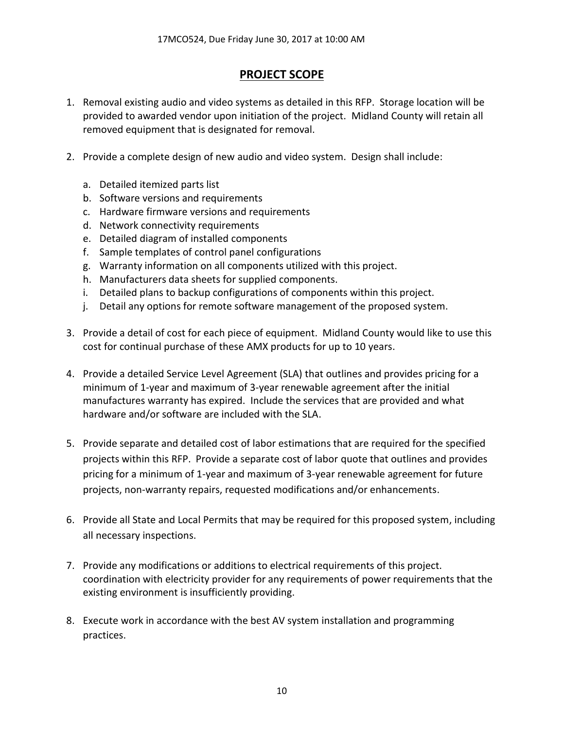## **PROJECT SCOPE**

- 1. Removal existing audio and video systems as detailed in this RFP. Storage location will be provided to awarded vendor upon initiation of the project. Midland County will retain all removed equipment that is designated for removal.
- 2. Provide a complete design of new audio and video system. Design shall include:
	- a. Detailed itemized parts list
	- b. Software versions and requirements
	- c. Hardware firmware versions and requirements
	- d. Network connectivity requirements
	- e. Detailed diagram of installed components
	- f. Sample templates of control panel configurations
	- g. Warranty information on all components utilized with this project.
	- h. Manufacturers data sheets for supplied components.
	- i. Detailed plans to backup configurations of components within this project.
	- j. Detail any options for remote software management of the proposed system.
- 3. Provide a detail of cost for each piece of equipment. Midland County would like to use this cost for continual purchase of these AMX products for up to 10 years.
- 4. Provide a detailed Service Level Agreement (SLA) that outlines and provides pricing for a minimum of 1-year and maximum of 3-year renewable agreement after the initial manufactures warranty has expired. Include the services that are provided and what hardware and/or software are included with the SLA.
- 5. Provide separate and detailed cost of labor estimations that are required for the specified projects within this RFP. Provide a separate cost of labor quote that outlines and provides pricing for a minimum of 1-year and maximum of 3-year renewable agreement for future projects, non-warranty repairs, requested modifications and/or enhancements.
- 6. Provide all State and Local Permits that may be required for this proposed system, including all necessary inspections.
- 7. Provide any modifications or additions to electrical requirements of this project. coordination with electricity provider for any requirements of power requirements that the existing environment is insufficiently providing.
- 8. Execute work in accordance with the best AV system installation and programming practices.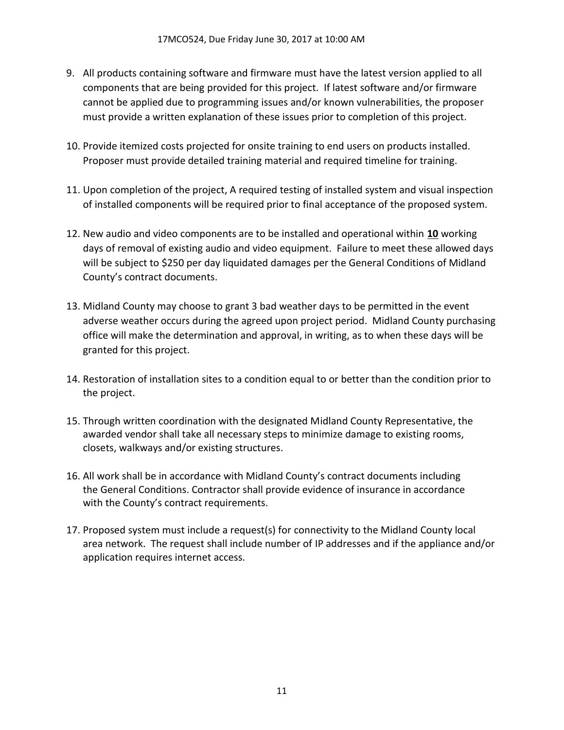- 9. All products containing software and firmware must have the latest version applied to all components that are being provided for this project. If latest software and/or firmware cannot be applied due to programming issues and/or known vulnerabilities, the proposer must provide a written explanation of these issues prior to completion of this project.
- 10. Provide itemized costs projected for onsite training to end users on products installed. Proposer must provide detailed training material and required timeline for training.
- 11. Upon completion of the project, A required testing of installed system and visual inspection of installed components will be required prior to final acceptance of the proposed system.
- 12. New audio and video components are to be installed and operational within **10** working days of removal of existing audio and video equipment. Failure to meet these allowed days will be subject to \$250 per day liquidated damages per the General Conditions of Midland County's contract documents.
- 13. Midland County may choose to grant 3 bad weather days to be permitted in the event adverse weather occurs during the agreed upon project period. Midland County purchasing office will make the determination and approval, in writing, as to when these days will be granted for this project.
- 14. Restoration of installation sites to a condition equal to or better than the condition prior to the project.
- 15. Through written coordination with the designated Midland County Representative, the awarded vendor shall take all necessary steps to minimize damage to existing rooms, closets, walkways and/or existing structures.
- 16. All work shall be in accordance with Midland County's contract documents including the General Conditions. Contractor shall provide evidence of insurance in accordance with the County's contract requirements.
- 17. Proposed system must include a request(s) for connectivity to the Midland County local area network. The request shall include number of IP addresses and if the appliance and/or application requires internet access.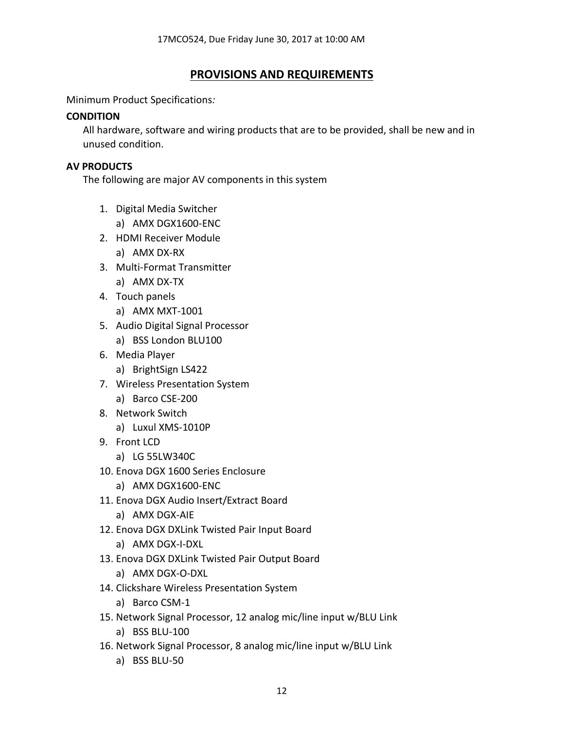## **PROVISIONS AND REQUIREMENTS**

Minimum Product Specifications*:* 

#### **CONDITION**

All hardware, software and wiring products that are to be provided, shall be new and in unused condition.

#### **AV PRODUCTS**

The following are major AV components in this system

- 1. Digital Media Switcher
	- a) AMX DGX1600-ENC
- 2. HDMI Receiver Module
	- a) AMX DX-RX
- 3. Multi-Format Transmitter
	- a) AMX DX-TX
- 4. Touch panels
	- a) AMX MXT-1001
- 5. Audio Digital Signal Processor
	- a) BSS London BLU100
- 6. Media Player
	- a) BrightSign LS422
- 7. Wireless Presentation System
	- a) Barco CSE-200
- 8. Network Switch
	- a) Luxul XMS-1010P
- 9. Front LCD
	- a) LG 55LW340C
- 10. Enova DGX 1600 Series Enclosure
	- a) AMX DGX1600-ENC
- 11. Enova DGX Audio Insert/Extract Board
	- a) AMX DGX-AIE
- 12. Enova DGX DXLink Twisted Pair Input Board
	- a) AMX DGX-I-DXL
- 13. Enova DGX DXLink Twisted Pair Output Board
	- a) AMX DGX-O-DXL
- 14. Clickshare Wireless Presentation System
	- a) Barco CSM-1
- 15. Network Signal Processor, 12 analog mic/line input w/BLU Link
	- a) BSS BLU-100
- 16. Network Signal Processor, 8 analog mic/line input w/BLU Link
	- a) BSS BLU-50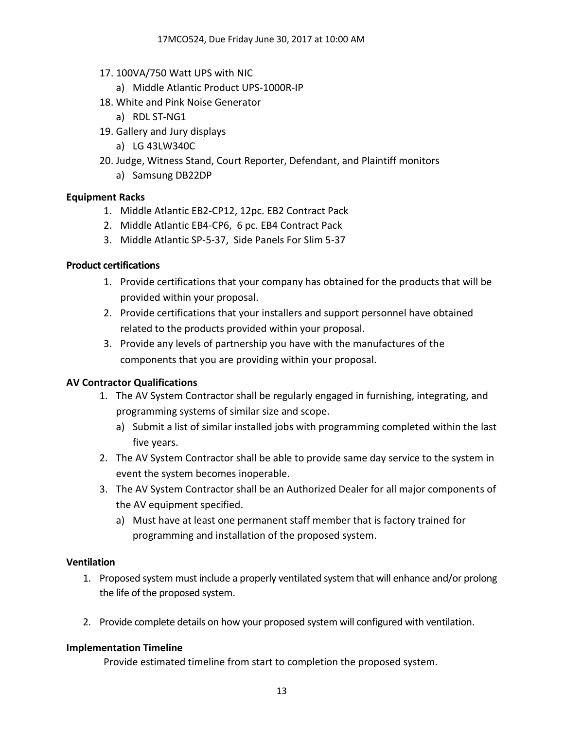- 17. 100VA/750 Watt UPS with NIC
	- a) Middle Atlantic Product UPS-1000R-IP
- 18. White and Pink Noise Generator
	- a) RDL ST-NG1
- 19. Gallery and Jury displays
	- a) LG 43LW340C
- 20. Judge, Witness Stand, Court Reporter, Defendant, and Plaintiff monitors
	- a) Samsung DB22DP

## **Equipment Racks**

- 1. Middle Atlantic EB2-CP12, 12pc. EB2 Contract Pack
- 2. Middle Atlantic EB4-CP6, 6 pc. EB4 Contract Pack
- 3. Middle Atlantic SP-5-37, Side Panels For Slim 5-37

## **Product certifications**

- 1. Provide certifications that your company has obtained for the products that will be provided within your proposal.
- 2. Provide certifications that your installers and support personnel have obtained related to the products provided within your proposal.
- 3. Provide any levels of partnership you have with the manufactures of the components that you are providing within your proposal.

## **AV Contractor Qualifications**

- 1. The AV System Contractor shall be regularly engaged in furnishing, integrating, and programming systems of similar size and scope.
	- a) Submit a list of similar installed jobs with programming completed within the last five years.
- 2. The AV System Contractor shall be able to provide same day service to the system in event the system becomes inoperable.
- 3. The AV System Contractor shall be an Authorized Dealer for all major components of the AV equipment specified.
	- a) Must have at least one permanent staff member that is factory trained for programming and installation of the proposed system.

#### **Ventilation**

- 1. Proposed system must include a properly ventilated system that will enhance and/or prolong the life of the proposed system.
- 2. Provide complete details on how your proposed system will configured with ventilation.

## **Implementation Timeline**

Provide estimated timeline from start to completion the proposed system.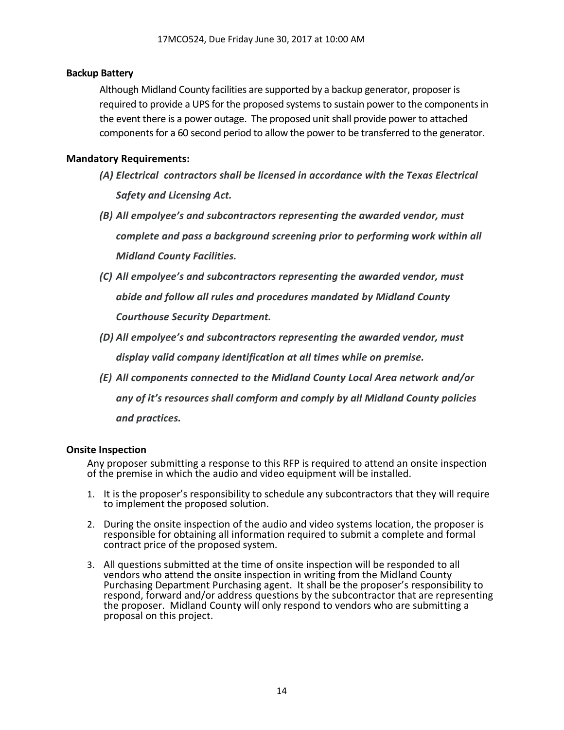#### **Backup Battery**

Although Midland County facilities are supported by a backup generator, proposer is required to provide a UPS for the proposed systems to sustain power to the components in the event there is a power outage. The proposed unit shall provide power to attached components for a 60 second period to allow the power to be transferred to the generator.

#### **Mandatory Requirements:**

- *(A) Electrical contractors shall be licensed in accordance with the Texas Electrical Safety and Licensing Act.*
- *(B) All empolyee's and subcontractors representing the awarded vendor, must complete and pass a background screening prior to performing work within all Midland County Facilities.*
- *(C) All empolyee's and subcontractors representing the awarded vendor, must abide and follow all rules and procedures mandated by Midland County Courthouse Security Department.*
- *(D) All empolyee's and subcontractors representing the awarded vendor, must display valid company identification at all times while on premise.*
- *(E) All components connected to the Midland County Local Area network and/or any of it's resources shall comform and comply by all Midland County policies and practices.*

#### **Onsite Inspection**

Any proposer submitting a response to this RFP is required to attend an onsite inspection of the premise in which the audio and video equipment will be installed.

- 1. It is the proposer's responsibility to schedule any subcontractors that they will require to implement the proposed solution.
- 2. During the onsite inspection of the audio and video systems location, the proposer is responsible for obtaining all information required to submit a complete and formal contract price of the proposed system.
- 3. All questions submitted at the time of onsite inspection will be responded to all vendors who attend the onsite inspection in writing from the Midland County Purchasing Department Purchasing agent. It shall be the proposer's responsibility to respond, forward and/or address questions by the subcontractor that are representing the proposer. Midland County will only respond to vendors who are submitting a proposal on this project.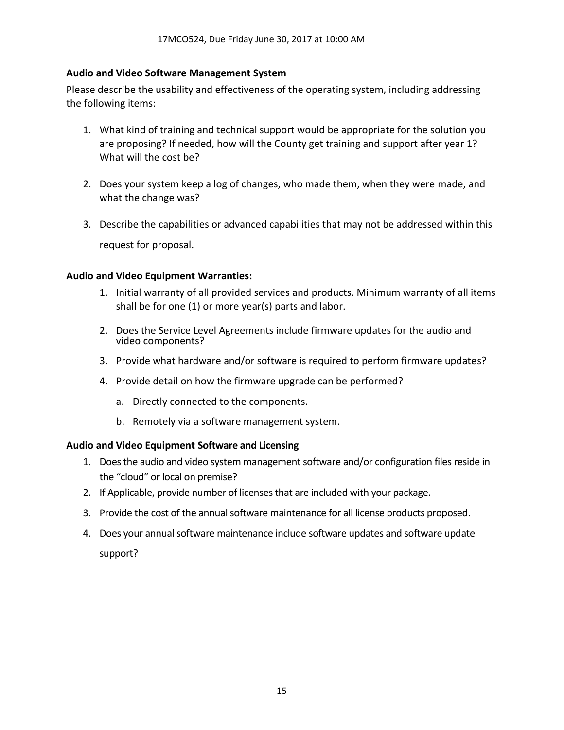#### **Audio and Video Software Management System**

Please describe the usability and effectiveness of the operating system, including addressing the following items:

- 1. What kind of training and technical support would be appropriate for the solution you are proposing? If needed, how will the County get training and support after year 1? What will the cost be?
- 2. Does your system keep a log of changes, who made them, when they were made, and what the change was?
- 3. Describe the capabilities or advanced capabilities that may not be addressed within this request for proposal.

#### **Audio and Video Equipment Warranties:**

- 1. Initial warranty of all provided services and products. Minimum warranty of all items shall be for one (1) or more year(s) parts and labor.
- 2. Does the Service Level Agreements include firmware updates for the audio and video components?
- 3. Provide what hardware and/or software is required to perform firmware updates?
- 4. Provide detail on how the firmware upgrade can be performed?
	- a. Directly connected to the components.
	- b. Remotely via a software management system.

#### **Audio and Video Equipment Software and Licensing**

- 1. Does the audio and video system management software and/or configuration files reside in the "cloud" or local on premise?
- 2. If Applicable, provide number of licensesthat are included with your package.
- 3. Provide the cost of the annual software maintenance for all license products proposed.
- 4. Does your annual software maintenance include software updates and software update support?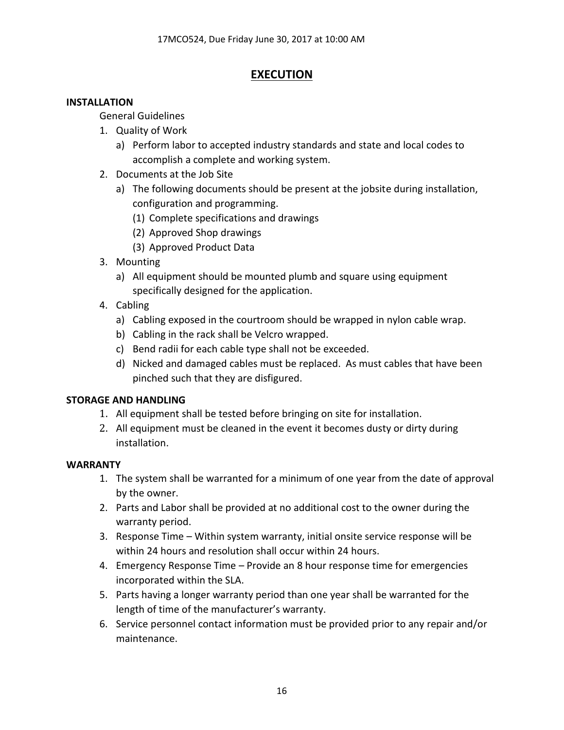## **EXECUTION**

## **INSTALLATION**

General Guidelines

- 1. Quality of Work
	- a) Perform labor to accepted industry standards and state and local codes to accomplish a complete and working system.
- 2. Documents at the Job Site
	- a) The following documents should be present at the jobsite during installation, configuration and programming.
		- (1) Complete specifications and drawings
		- (2) Approved Shop drawings
		- (3) Approved Product Data
- 3. Mounting
	- a) All equipment should be mounted plumb and square using equipment specifically designed for the application.
- 4. Cabling
	- a) Cabling exposed in the courtroom should be wrapped in nylon cable wrap.
	- b) Cabling in the rack shall be Velcro wrapped.
	- c) Bend radii for each cable type shall not be exceeded.
	- d) Nicked and damaged cables must be replaced. As must cables that have been pinched such that they are disfigured.

## **STORAGE AND HANDLING**

- 1. All equipment shall be tested before bringing on site for installation.
- 2. All equipment must be cleaned in the event it becomes dusty or dirty during installation.

## **WARRANTY**

- 1. The system shall be warranted for a minimum of one year from the date of approval by the owner.
- 2. Parts and Labor shall be provided at no additional cost to the owner during the warranty period.
- 3. Response Time Within system warranty, initial onsite service response will be within 24 hours and resolution shall occur within 24 hours.
- 4. Emergency Response Time Provide an 8 hour response time for emergencies incorporated within the SLA.
- 5. Parts having a longer warranty period than one year shall be warranted for the length of time of the manufacturer's warranty.
- 6. Service personnel contact information must be provided prior to any repair and/or maintenance.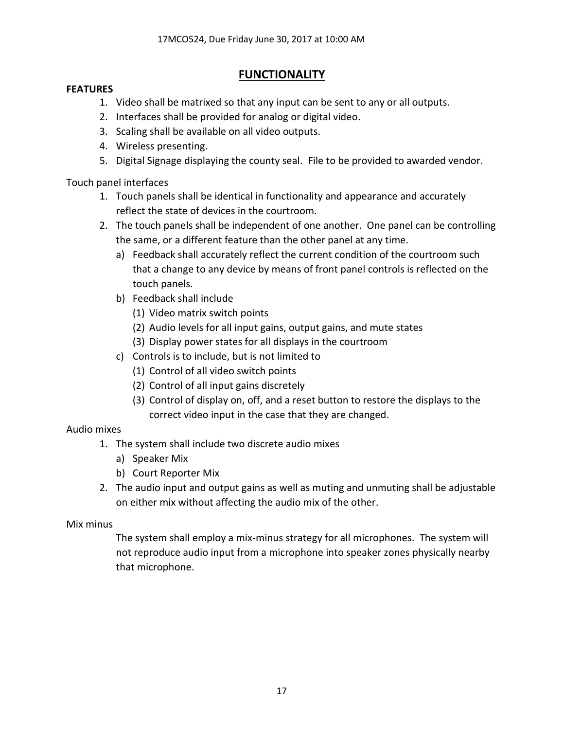## **FUNCTIONALITY**

## **FEATURES**

- 1. Video shall be matrixed so that any input can be sent to any or all outputs.
- 2. Interfaces shall be provided for analog or digital video.
- 3. Scaling shall be available on all video outputs.
- 4. Wireless presenting.
- 5. Digital Signage displaying the county seal. File to be provided to awarded vendor.

Touch panel interfaces

- 1. Touch panels shall be identical in functionality and appearance and accurately reflect the state of devices in the courtroom.
- 2. The touch panels shall be independent of one another. One panel can be controlling the same, or a different feature than the other panel at any time.
	- a) Feedback shall accurately reflect the current condition of the courtroom such that a change to any device by means of front panel controls is reflected on the touch panels.
	- b) Feedback shall include
		- (1) Video matrix switch points
		- (2) Audio levels for all input gains, output gains, and mute states
		- (3) Display power states for all displays in the courtroom
	- c) Controls is to include, but is not limited to
		- (1) Control of all video switch points
		- (2) Control of all input gains discretely
		- (3) Control of display on, off, and a reset button to restore the displays to the correct video input in the case that they are changed.

## Audio mixes

- 1. The system shall include two discrete audio mixes
	- a) Speaker Mix
	- b) Court Reporter Mix
- 2. The audio input and output gains as well as muting and unmuting shall be adjustable on either mix without affecting the audio mix of the other.

## Mix minus

The system shall employ a mix-minus strategy for all microphones. The system will not reproduce audio input from a microphone into speaker zones physically nearby that microphone.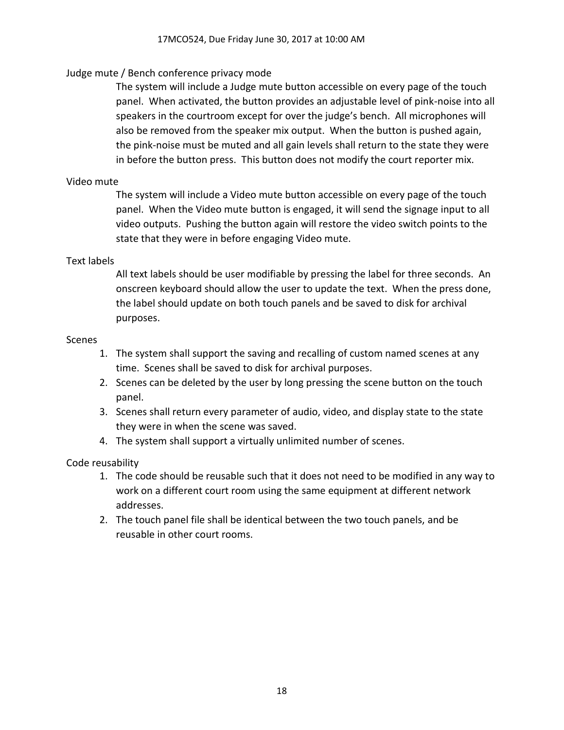## Judge mute / Bench conference privacy mode

The system will include a Judge mute button accessible on every page of the touch panel. When activated, the button provides an adjustable level of pink-noise into all speakers in the courtroom except for over the judge's bench. All microphones will also be removed from the speaker mix output. When the button is pushed again, the pink-noise must be muted and all gain levels shall return to the state they were in before the button press. This button does not modify the court reporter mix.

### Video mute

The system will include a Video mute button accessible on every page of the touch panel. When the Video mute button is engaged, it will send the signage input to all video outputs. Pushing the button again will restore the video switch points to the state that they were in before engaging Video mute.

#### Text labels

All text labels should be user modifiable by pressing the label for three seconds. An onscreen keyboard should allow the user to update the text. When the press done, the label should update on both touch panels and be saved to disk for archival purposes.

#### Scenes

- 1. The system shall support the saving and recalling of custom named scenes at any time. Scenes shall be saved to disk for archival purposes.
- 2. Scenes can be deleted by the user by long pressing the scene button on the touch panel.
- 3. Scenes shall return every parameter of audio, video, and display state to the state they were in when the scene was saved.
- 4. The system shall support a virtually unlimited number of scenes.

#### Code reusability

- 1. The code should be reusable such that it does not need to be modified in any way to work on a different court room using the same equipment at different network addresses.
- 2. The touch panel file shall be identical between the two touch panels, and be reusable in other court rooms.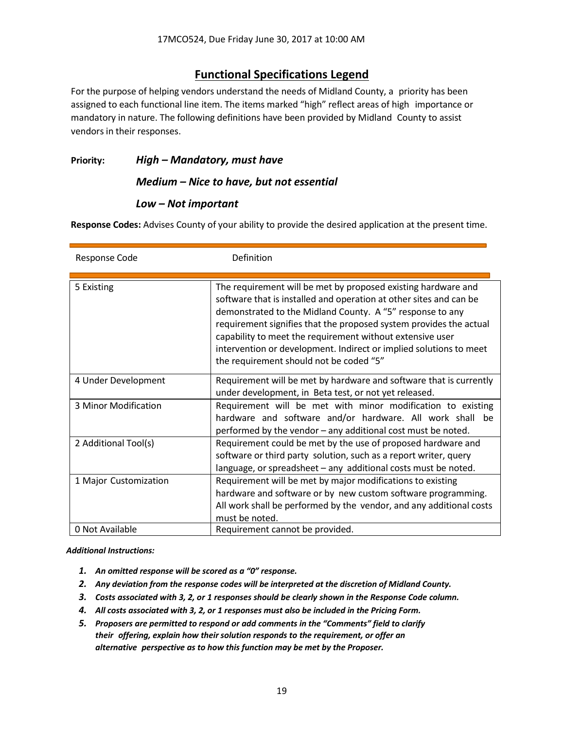## **Functional Specifications Legend**

For the purpose of helping vendors understand the needs of Midland County, a priority has been assigned to each functional line item. The items marked "high" reflect areas of high importance or mandatory in nature. The following definitions have been provided by Midland County to assist vendors in their responses.

**Priority:** *High – Mandatory, must have*

#### *Medium – Nice to have, but not essential*

#### *Low – Not important*

**Response Codes:** Advises County of your ability to provide the desired application at the present time.

| Response Code         | Definition                                                                                                                                                                                                                                                                                                                                                                                                                                           |
|-----------------------|------------------------------------------------------------------------------------------------------------------------------------------------------------------------------------------------------------------------------------------------------------------------------------------------------------------------------------------------------------------------------------------------------------------------------------------------------|
| 5 Existing            | The requirement will be met by proposed existing hardware and<br>software that is installed and operation at other sites and can be<br>demonstrated to the Midland County. A "5" response to any<br>requirement signifies that the proposed system provides the actual<br>capability to meet the requirement without extensive user<br>intervention or development. Indirect or implied solutions to meet<br>the requirement should not be coded "5" |
| 4 Under Development   | Requirement will be met by hardware and software that is currently<br>under development, in Beta test, or not yet released.                                                                                                                                                                                                                                                                                                                          |
| 3 Minor Modification  | Requirement will be met with minor modification to existing<br>hardware and software and/or hardware. All work shall<br>he<br>performed by the vendor - any additional cost must be noted.                                                                                                                                                                                                                                                           |
| 2 Additional Tool(s)  | Requirement could be met by the use of proposed hardware and<br>software or third party solution, such as a report writer, query<br>language, or spreadsheet - any additional costs must be noted.                                                                                                                                                                                                                                                   |
| 1 Major Customization | Requirement will be met by major modifications to existing<br>hardware and software or by new custom software programming.<br>All work shall be performed by the vendor, and any additional costs<br>must be noted.                                                                                                                                                                                                                                  |
| 0 Not Available       | Requirement cannot be provided.                                                                                                                                                                                                                                                                                                                                                                                                                      |

*Additional Instructions:*

- *1. An omitted response will be scored as a "0" response.*
- *2. Any deviation from the response codes will be interpreted at the discretion of Midland County.*
- *3. Costs associated with 3, 2, or 1 responses should be clearly shown in the Response Code column.*
- *4. All costs associated with 3, 2, or 1 responses must also be included in the Pricing Form.*
- *5. Proposers are permitted to respond or add comments in the "Comments" field to clarify their offering, explain how their solution responds to the requirement, or offer an alternative perspective as to how this function may be met by the Proposer.*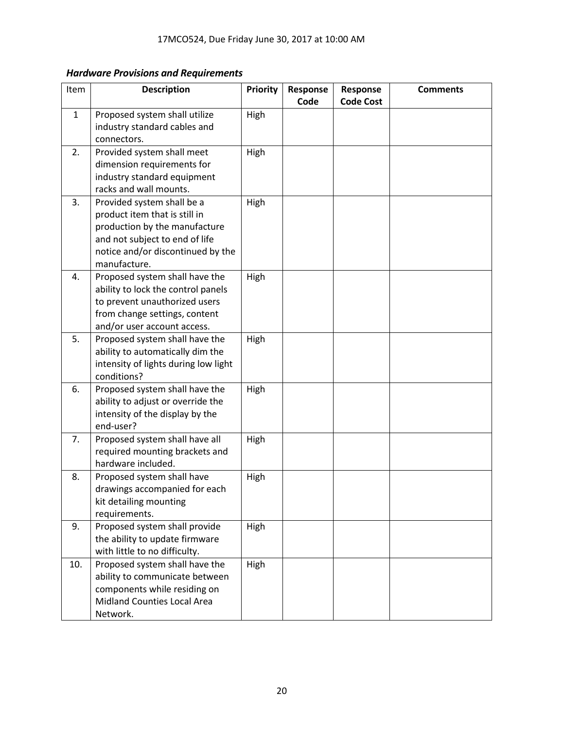## *Hardware Provisions and Requirements*

| Item         | <b>Description</b>                                                                                                                                                                  | <b>Priority</b> | Response<br>Code | Response<br><b>Code Cost</b> | <b>Comments</b> |
|--------------|-------------------------------------------------------------------------------------------------------------------------------------------------------------------------------------|-----------------|------------------|------------------------------|-----------------|
| $\mathbf{1}$ | Proposed system shall utilize<br>industry standard cables and<br>connectors.                                                                                                        | High            |                  |                              |                 |
| 2.           | Provided system shall meet<br>dimension requirements for<br>industry standard equipment<br>racks and wall mounts.                                                                   | High            |                  |                              |                 |
| 3.           | Provided system shall be a<br>product item that is still in<br>production by the manufacture<br>and not subject to end of life<br>notice and/or discontinued by the<br>manufacture. | High            |                  |                              |                 |
| 4.           | Proposed system shall have the<br>ability to lock the control panels<br>to prevent unauthorized users<br>from change settings, content<br>and/or user account access.               | High            |                  |                              |                 |
| 5.           | Proposed system shall have the<br>ability to automatically dim the<br>intensity of lights during low light<br>conditions?                                                           | High            |                  |                              |                 |
| 6.           | Proposed system shall have the<br>ability to adjust or override the<br>intensity of the display by the<br>end-user?                                                                 | High            |                  |                              |                 |
| 7.           | Proposed system shall have all<br>required mounting brackets and<br>hardware included.                                                                                              | High            |                  |                              |                 |
| 8.           | Proposed system shall have<br>drawings accompanied for each<br>kit detailing mounting<br>requirements.                                                                              | High            |                  |                              |                 |
| 9.           | Proposed system shall provide<br>the ability to update firmware<br>with little to no difficulty.                                                                                    | High            |                  |                              |                 |
| 10.          | Proposed system shall have the<br>ability to communicate between<br>components while residing on<br><b>Midland Counties Local Area</b><br>Network.                                  | High            |                  |                              |                 |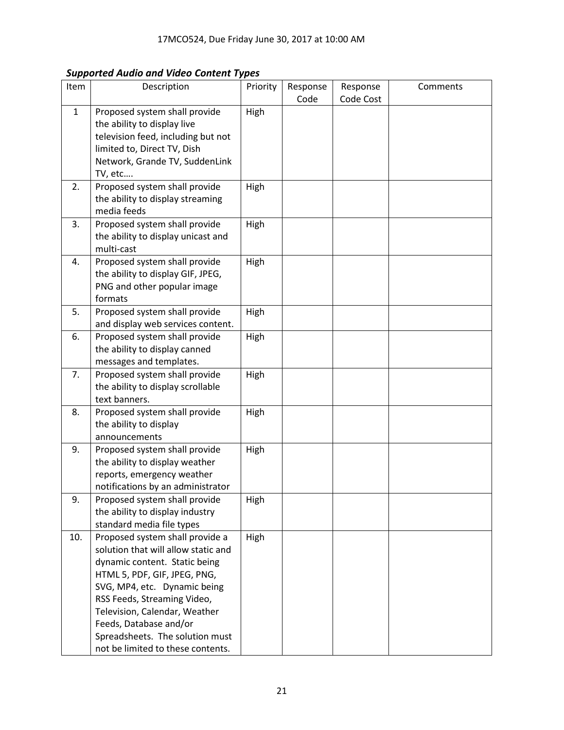*Supported Audio and Video Content Types*

| r ı          |                                                                                                                                                                                                                                                                                                                                           |          |                  |                       |          |
|--------------|-------------------------------------------------------------------------------------------------------------------------------------------------------------------------------------------------------------------------------------------------------------------------------------------------------------------------------------------|----------|------------------|-----------------------|----------|
| Item         | Description                                                                                                                                                                                                                                                                                                                               | Priority | Response<br>Code | Response<br>Code Cost | Comments |
| $\mathbf{1}$ | Proposed system shall provide<br>the ability to display live<br>television feed, including but not<br>limited to, Direct TV, Dish<br>Network, Grande TV, SuddenLink<br>TV, etc                                                                                                                                                            | High     |                  |                       |          |
| 2.           | Proposed system shall provide<br>the ability to display streaming<br>media feeds                                                                                                                                                                                                                                                          | High     |                  |                       |          |
| 3.           | Proposed system shall provide<br>the ability to display unicast and<br>multi-cast                                                                                                                                                                                                                                                         | High     |                  |                       |          |
| 4.           | Proposed system shall provide<br>the ability to display GIF, JPEG,<br>PNG and other popular image<br>formats                                                                                                                                                                                                                              | High     |                  |                       |          |
| 5.           | Proposed system shall provide<br>and display web services content.                                                                                                                                                                                                                                                                        | High     |                  |                       |          |
| 6.           | Proposed system shall provide<br>the ability to display canned<br>messages and templates.                                                                                                                                                                                                                                                 | High     |                  |                       |          |
| 7.           | Proposed system shall provide<br>the ability to display scrollable<br>text banners.                                                                                                                                                                                                                                                       | High     |                  |                       |          |
| 8.           | Proposed system shall provide<br>the ability to display<br>announcements                                                                                                                                                                                                                                                                  | High     |                  |                       |          |
| 9.           | Proposed system shall provide<br>the ability to display weather<br>reports, emergency weather<br>notifications by an administrator                                                                                                                                                                                                        | High     |                  |                       |          |
| 9.           | Proposed system shall provide<br>the ability to display industry<br>standard media file types                                                                                                                                                                                                                                             | High     |                  |                       |          |
| 10.          | Proposed system shall provide a<br>solution that will allow static and<br>dynamic content. Static being<br>HTML 5, PDF, GIF, JPEG, PNG,<br>SVG, MP4, etc. Dynamic being<br>RSS Feeds, Streaming Video,<br>Television, Calendar, Weather<br>Feeds, Database and/or<br>Spreadsheets. The solution must<br>not be limited to these contents. | High     |                  |                       |          |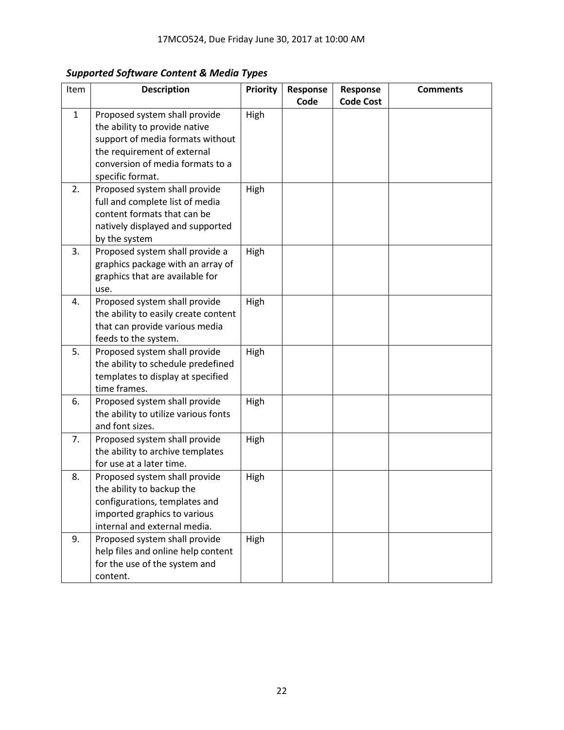## *Supported Software Content & Media Types*

| Item         | <b>Description</b>                   | <b>Priority</b> | Response | Response         | <b>Comments</b> |
|--------------|--------------------------------------|-----------------|----------|------------------|-----------------|
|              |                                      |                 | Code     | <b>Code Cost</b> |                 |
| $\mathbf{1}$ | Proposed system shall provide        | High            |          |                  |                 |
|              | the ability to provide native        |                 |          |                  |                 |
|              | support of media formats without     |                 |          |                  |                 |
|              | the requirement of external          |                 |          |                  |                 |
|              | conversion of media formats to a     |                 |          |                  |                 |
|              | specific format.                     |                 |          |                  |                 |
| 2.           | Proposed system shall provide        | High            |          |                  |                 |
|              | full and complete list of media      |                 |          |                  |                 |
|              | content formats that can be          |                 |          |                  |                 |
|              | natively displayed and supported     |                 |          |                  |                 |
|              | by the system                        |                 |          |                  |                 |
| 3.           | Proposed system shall provide a      | High            |          |                  |                 |
|              | graphics package with an array of    |                 |          |                  |                 |
|              | graphics that are available for      |                 |          |                  |                 |
|              | use.                                 |                 |          |                  |                 |
| 4.           | Proposed system shall provide        | High            |          |                  |                 |
|              | the ability to easily create content |                 |          |                  |                 |
|              | that can provide various media       |                 |          |                  |                 |
|              | feeds to the system.                 |                 |          |                  |                 |
| 5.           | Proposed system shall provide        | High            |          |                  |                 |
|              | the ability to schedule predefined   |                 |          |                  |                 |
|              | templates to display at specified    |                 |          |                  |                 |
|              | time frames.                         |                 |          |                  |                 |
| 6.           | Proposed system shall provide        | High            |          |                  |                 |
|              | the ability to utilize various fonts |                 |          |                  |                 |
|              | and font sizes.                      |                 |          |                  |                 |
| 7.           | Proposed system shall provide        | High            |          |                  |                 |
|              | the ability to archive templates     |                 |          |                  |                 |
|              | for use at a later time.             |                 |          |                  |                 |
| 8.           | Proposed system shall provide        | High            |          |                  |                 |
|              | the ability to backup the            |                 |          |                  |                 |
|              | configurations, templates and        |                 |          |                  |                 |
|              | imported graphics to various         |                 |          |                  |                 |
|              | internal and external media.         |                 |          |                  |                 |
| 9.           | Proposed system shall provide        | High            |          |                  |                 |
|              | help files and online help content   |                 |          |                  |                 |
|              | for the use of the system and        |                 |          |                  |                 |
|              | content.                             |                 |          |                  |                 |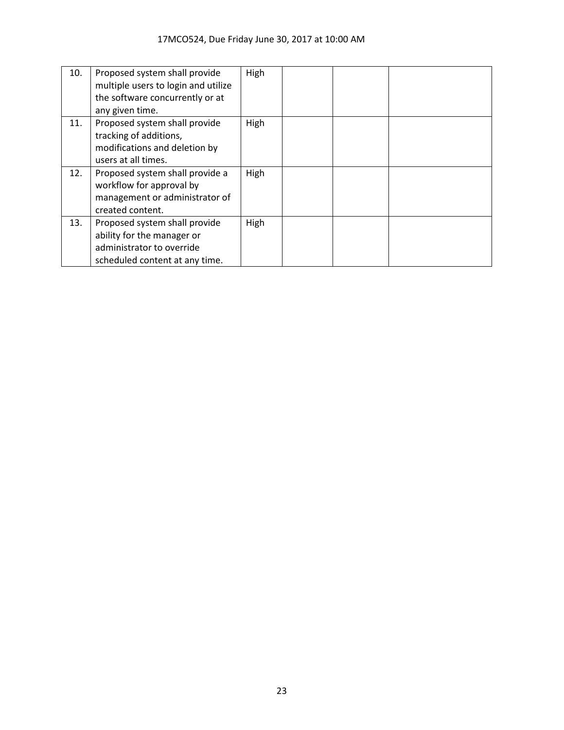| 10. | Proposed system shall provide<br>multiple users to login and utilize<br>the software concurrently or at<br>any given time. | High |  |  |
|-----|----------------------------------------------------------------------------------------------------------------------------|------|--|--|
| 11. | Proposed system shall provide<br>tracking of additions,<br>modifications and deletion by<br>users at all times.            | High |  |  |
| 12. | Proposed system shall provide a<br>workflow for approval by<br>management or administrator of<br>created content.          | High |  |  |
| 13. | Proposed system shall provide<br>ability for the manager or<br>administrator to override<br>scheduled content at any time. | High |  |  |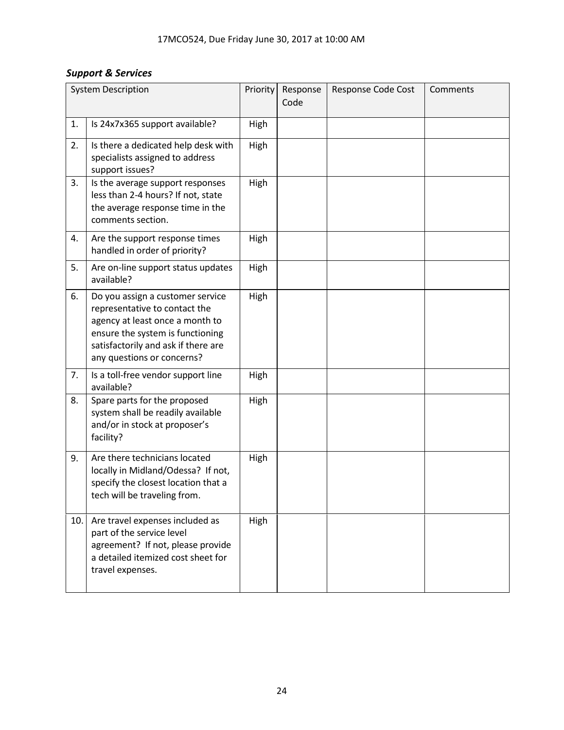## *Support & Services*

|     | <b>System Description</b>                                                                                                                                                                                     | Priority | Response<br>Code | Response Code Cost | Comments |
|-----|---------------------------------------------------------------------------------------------------------------------------------------------------------------------------------------------------------------|----------|------------------|--------------------|----------|
| 1.  | Is 24x7x365 support available?                                                                                                                                                                                | High     |                  |                    |          |
| 2.  | Is there a dedicated help desk with<br>specialists assigned to address<br>support issues?                                                                                                                     | High     |                  |                    |          |
| 3.  | Is the average support responses<br>less than 2-4 hours? If not, state<br>the average response time in the<br>comments section.                                                                               | High     |                  |                    |          |
| 4.  | Are the support response times<br>handled in order of priority?                                                                                                                                               | High     |                  |                    |          |
| 5.  | Are on-line support status updates<br>available?                                                                                                                                                              | High     |                  |                    |          |
| 6.  | Do you assign a customer service<br>representative to contact the<br>agency at least once a month to<br>ensure the system is functioning<br>satisfactorily and ask if there are<br>any questions or concerns? | High     |                  |                    |          |
| 7.  | Is a toll-free vendor support line<br>available?                                                                                                                                                              | High     |                  |                    |          |
| 8.  | Spare parts for the proposed<br>system shall be readily available<br>and/or in stock at proposer's<br>facility?                                                                                               | High     |                  |                    |          |
| 9.  | Are there technicians located<br>locally in Midland/Odessa? If not,<br>specify the closest location that a<br>tech will be traveling from.                                                                    | High     |                  |                    |          |
| 10. | Are travel expenses included as<br>part of the service level<br>agreement? If not, please provide<br>a detailed itemized cost sheet for<br>travel expenses.                                                   | High     |                  |                    |          |